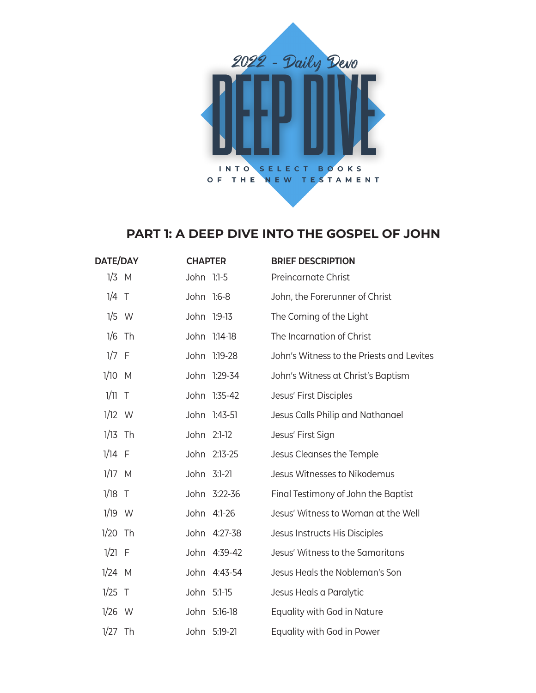

## **PART 1: A DEEP DIVE INTO THE GOSPEL OF JOHN**

| DATE/DAY  |  | <b>CHAPTER</b> |              | <b>BRIEF DESCRIPTION</b>                  |
|-----------|--|----------------|--------------|-------------------------------------------|
| $1/3$ M   |  | John 1:1-5     |              | Preincarnate Christ                       |
| $1/4$ T   |  | John 1:6-8     |              | John, the Forerunner of Christ            |
| $1/5$ W   |  |                | John 1:9-13  | The Coming of the Light                   |
| $1/6$ Th  |  |                | John 1:14-18 | The Incarnation of Christ                 |
| $1/7$ F   |  |                | John 1:19-28 | John's Witness to the Priests and Levites |
| 1/10 M    |  |                | John 1:29-34 | John's Witness at Christ's Baptism        |
| $1/11$ T  |  |                | John 1:35-42 | Jesus' First Disciples                    |
| $1/12$ W  |  |                | John 1:43-51 | Jesus Calls Philip and Nathanael          |
| $1/13$ Th |  | John 2:1-12    |              | Jesus' First Sign                         |
| $1/14$ F  |  |                | John 2:13-25 | Jesus Cleanses the Temple                 |
| $1/17$ M  |  | John 3:1-21    |              | Jesus Witnesses to Nikodemus              |
| $1/18$ T  |  |                | John 3:22-36 | Final Testimony of John the Baptist       |
| $1/19$ W  |  |                | John 4:1-26  | Jesus' Witness to Woman at the Well       |
| $1/20$ Th |  |                | John 4:27-38 | Jesus Instructs His Disciples             |
| $1/21$ F  |  |                | John 4:39-42 | Jesus' Witness to the Samaritans          |
| $1/24$ M  |  |                | John 4:43-54 | Jesus Heals the Nobleman's Son            |
| $1/25$ T  |  | John 5:1-15    |              | Jesus Heals a Paralytic                   |
| $1/26$ W  |  |                | John 5:16-18 | Equality with God in Nature               |
| $1/27$ Th |  |                | John 5:19-21 | Equality with God in Power                |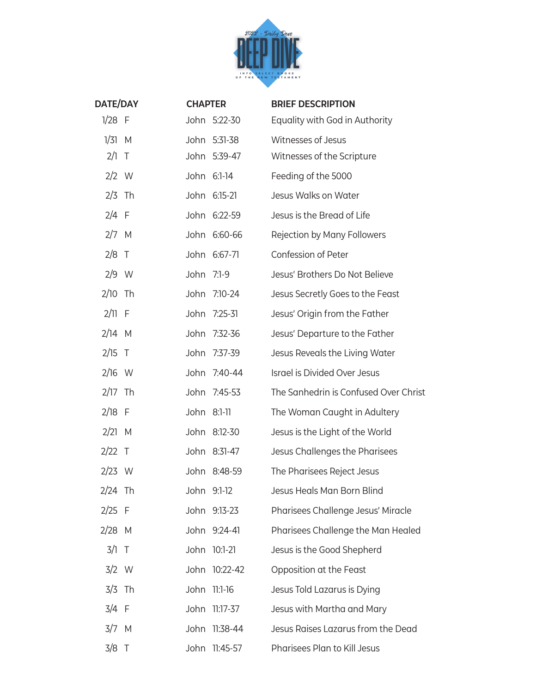

| <b>DATE/DAY</b> |        | <b>CHAPTER</b> |               | <b>BRIEF DESCRIPTION</b>              |
|-----------------|--------|----------------|---------------|---------------------------------------|
| $1/28$ F        |        |                | John 5:22-30  | Equality with God in Authority        |
| $1/31$ M        |        |                | John 5:31-38  | Witnesses of Jesus                    |
| 2/1             | $\top$ |                | John 5:39-47  | Witnesses of the Scripture            |
| $2/2$ W         |        |                | John 6:1-14   | Feeding of the 5000                   |
| $2/3$ Th        |        |                | John 6:15-21  | Jesus Walks on Water                  |
| $2/4$ F         |        |                | John 6:22-59  | Jesus is the Bread of Life            |
| $2/7$ M         |        |                | John 6:60-66  | Rejection by Many Followers           |
| $2/8$ T         |        |                | John 6:67-71  | Confession of Peter                   |
| $2/9$ W         |        | John 7:1-9     |               | Jesus' Brothers Do Not Believe        |
| $2/10$ Th       |        |                | John 7:10-24  | Jesus Secretly Goes to the Feast      |
| $2/11$ F        |        |                | John 7:25-31  | Jesus' Origin from the Father         |
| $2/14$ M        |        |                | John 7:32-36  | Jesus' Departure to the Father        |
| $2/15$ T        |        | John           | 7:37-39       | Jesus Reveals the Living Water        |
| $2/16$ W        |        |                | John 7:40-44  | Israel is Divided Over Jesus          |
| $2/17$ Th       |        |                | John 7:45-53  | The Sanhedrin is Confused Over Christ |
| $2/18$ F        |        | John 8:1-11    |               | The Woman Caught in Adultery          |
| $2/21$ M        |        |                | John 8:12-30  | Jesus is the Light of the World       |
| $2/22$ T        |        |                | John 8:31-47  | Jesus Challenges the Pharisees        |
| $2/23$ W        |        |                | John 8:48-59  | The Pharisees Reject Jesus            |
| 2/24 Th         |        |                | John 9:1-12   | Jesus Heals Man Born Blind            |
| $2/25$ F        |        |                | John 9:13-23  | Pharisees Challenge Jesus' Miracle    |
| $2/28$ M        |        |                | John 9:24-41  | Pharisees Challenge the Man Healed    |
| $3/1$ T         |        |                | John 10:1-21  | Jesus is the Good Shepherd            |
| $3/2$ W         |        |                | John 10:22-42 | Opposition at the Feast               |
| $3/3$ Th        |        |                | John 11:1-16  | Jesus Told Lazarus is Dying           |
| $3/4$ F         |        | John           | 11:17-37      | Jesus with Martha and Mary            |
| $3/7$ M         |        | John           | 11:38-44      | Jesus Raises Lazarus from the Dead    |
| $3/8$ T         |        |                | John 11:45-57 | Pharisees Plan to Kill Jesus          |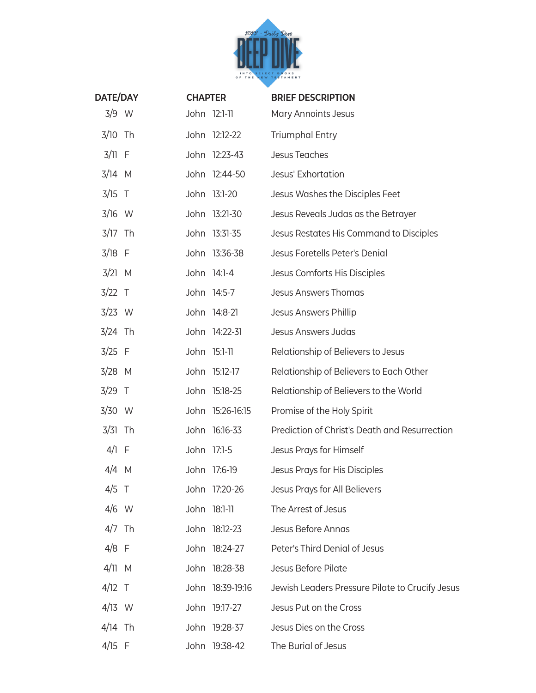

| <b>DATE/DAY</b> | <b>CHAPTER</b> |                  | <b>BRIEF DESCRIPTION</b>                        |
|-----------------|----------------|------------------|-------------------------------------------------|
| 3/9 W           |                | John 12:1-11     | Mary Annoints Jesus                             |
| $3/10$ Th       |                | John 12:12-22    | <b>Triumphal Entry</b>                          |
| $3/11$ F        |                | John 12:23-43    | <b>Jesus Teaches</b>                            |
| $3/14$ M        |                | John 12:44-50    | Jesus' Exhortation                              |
| $3/15$ T        |                | John 13:1-20     | Jesus Washes the Disciples Feet                 |
| $3/16$ W        |                | John 13:21-30    | Jesus Reveals Judas as the Betrayer             |
| $3/17$ Th       |                | John 13:31-35    | Jesus Restates His Command to Disciples         |
| $3/18$ F        |                | John 13:36-38    | Jesus Foretells Peter's Denial                  |
| $3/21$ M        |                | John 14:1-4      | Jesus Comforts His Disciples                    |
| $3/22$ T        |                | John 14:5-7      | <b>Jesus Answers Thomas</b>                     |
| $3/23$ W        |                | John 14:8-21     | Jesus Answers Phillip                           |
| $3/24$ Th       |                | John 14:22-31    | <b>Jesus Answers Judas</b>                      |
| $3/25$ F        |                | John 15:1-11     | Relationship of Believers to Jesus              |
| $3/28$ M        |                | John 15:12-17    | Relationship of Believers to Each Other         |
| $3/29$ T        |                | John 15:18-25    | Relationship of Believers to the World          |
| $3/30$ W        |                | John 15:26-16:15 | Promise of the Holy Spirit                      |
| $3/31$ Th       |                | John 16:16-33    | Prediction of Christ's Death and Resurrection   |
| $4/1$ F         | John 17:1-5    |                  | Jesus Prays for Himself                         |
| $4/4$ M         |                | John 17:6-19     | Jesus Prays for His Disciples                   |
| $4/5$ T         |                | John 17:20-26    | Jesus Prays for All Believers                   |
| $4/6$ W         |                | John 18:1-11     | The Arrest of Jesus                             |
| $4/7$ Th        |                | John 18:12-23    | Jesus Before Annas                              |
| $4/8$ F         |                | John 18:24-27    | Peter's Third Denial of Jesus                   |
| $4/11$ M        |                | John 18:28-38    | Jesus Before Pilate                             |
| $4/12$ T        |                | John 18:39-19:16 | Jewish Leaders Pressure Pilate to Crucify Jesus |
| $4/13$ W        |                | John 19:17-27    | Jesus Put on the Cross                          |
| $4/14$ Th       |                | John 19:28-37    | Jesus Dies on the Cross                         |
| $4/15$ F        |                | John 19:38-42    | The Burial of Jesus                             |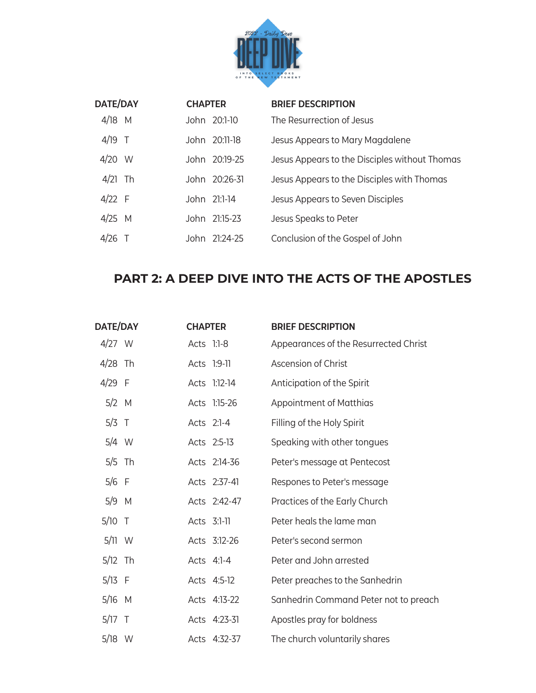

| <b>DATE/DAY</b> |     | <b>CHAPTER</b> |               | <b>BRIEF DESCRIPTION</b>                      |
|-----------------|-----|----------------|---------------|-----------------------------------------------|
| $4/18$ M        |     |                | John 20:1-10  | The Resurrection of Jesus                     |
| $4/19$ T        |     |                | John 20:11-18 | Jesus Appears to Mary Magdalene               |
| 4/20            | - W |                | John 20:19-25 | Jesus Appears to the Disciples without Thomas |
| 4/21            | Th  |                | John 20:26-31 | Jesus Appears to the Disciples with Thomas    |
| $4/22$ F        |     |                | John 21:1-14  | Jesus Appears to Seven Disciples              |
| $4/25$ M        |     |                | John 21:15-23 | Jesus Speaks to Peter                         |
| 4/26            |     |                | John 21:24-25 | Conclusion of the Gospel of John              |

## **PART 2: A DEEP DIVE INTO THE ACTS OF THE APOSTLES**

| <b>DATE/DAY</b> |  | <b>CHAPTER</b> |              | <b>BRIEF DESCRIPTION</b>              |
|-----------------|--|----------------|--------------|---------------------------------------|
| $4/27$ W        |  | Acts 1:1-8     |              | Appearances of the Resurrected Christ |
| $4/28$ Th       |  |                | Acts 1:9-11  | Ascension of Christ                   |
| $4/29$ F        |  |                | Acts 1:12-14 | Anticipation of the Spirit            |
| $5/2$ M         |  |                | Acts 1:15-26 | Appointment of Matthias               |
| $5/3$ T         |  |                | Acts 2:1-4   | Filling of the Holy Spirit            |
| $5/4$ W         |  |                | Acts 2:5-13  | Speaking with other tongues           |
| $5/5$ Th        |  |                | Acts 2:14-36 | Peter's message at Pentecost          |
| $5/6$ F         |  |                | Acts 2:37-41 | Respones to Peter's message           |
| $5/9$ M         |  |                | Acts 2:42-47 | Practices of the Early Church         |
| $5/10$ T        |  | Acts 3:1-11    |              | Peter heals the lame man              |
| $5/11$ W        |  |                | Acts 3:12-26 | Peter's second sermon                 |
| $5/12$ Th       |  |                | Acts 4:1-4   | Peter and John arrested               |
| $5/13$ F        |  |                | Acts 4:5-12  | Peter preaches to the Sanhedrin       |
| $5/16$ M        |  |                | Acts 4:13-22 | Sanhedrin Command Peter not to preach |
| $5/17$ T        |  |                | Acts 4:23-31 | Apostles pray for boldness            |
| $5/18$ W        |  |                | Acts 4:32-37 | The church voluntarily shares         |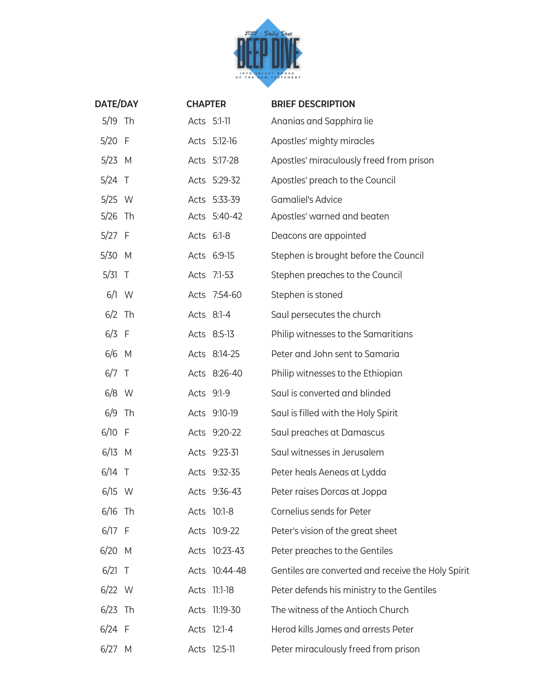

| <b>DATE/DAY</b> | <b>CHAPTER</b> |               | <b>BRIEF DESCRIPTION</b>                           |
|-----------------|----------------|---------------|----------------------------------------------------|
| $5/19$ Th       |                | Acts 5:1-11   | Ananias and Sapphira lie                           |
| $5/20$ F        |                | Acts 5:12-16  | Apostles' mighty miracles                          |
| $5/23$ M        |                | Acts 5:17-28  | Apostles' miraculously freed from prison           |
| $5/24$ T        |                | Acts 5:29-32  | Apostles' preach to the Council                    |
| $5/25$ W        |                | Acts 5:33-39  | <b>Gamaliel's Advice</b>                           |
| $5/26$ Th       |                | Acts 5:40-42  | Apostles' warned and beaten                        |
| $5/27$ F        |                | Acts 6:1-8    | Deacons are appointed                              |
| $5/30$ M        |                | Acts 6:9-15   | Stephen is brought before the Council              |
| $5/31$ T        |                | Acts 7:1-53   | Stephen preaches to the Council                    |
| $6/1$ W         |                | Acts 7:54-60  | Stephen is stoned                                  |
| $6/2$ Th        |                | Acts 8:1-4    | Saul persecutes the church                         |
| $6/3$ F         |                | Acts 8:5-13   | Philip witnesses to the Samaritians                |
| $6/6$ M         |                | Acts 8:14-25  | Peter and John sent to Samaria                     |
| $6/7$ T         |                | Acts 8:26-40  | Philip witnesses to the Ethiopian                  |
| $6/8$ W         |                | Acts 9:1-9    | Saul is converted and blinded                      |
| $6/9$ Th        |                | Acts 9:10-19  | Saul is filled with the Holy Spirit                |
| $6/10$ F        |                | Acts 9:20-22  | Saul preaches at Damascus                          |
| $6/13$ M        |                | Acts 9:23-31  | Saul witnesses in Jerusalem                        |
| $6/14$ T        |                | Acts 9:32-35  | Peter heals Aeneas at Lydda                        |
| $6/15$ W        |                | Acts 9:36-43  | Peter raises Dorcas at Joppa                       |
| $6/16$ Th       |                | Acts 10:1-8   | Cornelius sends for Peter                          |
| $6/17$ F        |                | Acts 10:9-22  | Peter's vision of the great sheet                  |
| $6/20$ M        |                | Acts 10:23-43 | Peter preaches to the Gentiles                     |
| $6/21$ T        |                | Acts 10:44-48 | Gentiles are converted and receive the Holy Spirit |
| $6/22$ W        |                | Acts 11:1-18  | Peter defends his ministry to the Gentiles         |
| $6/23$ Th       |                | Acts 11:19-30 | The witness of the Antioch Church                  |
| $6/24$ F        |                | Acts 12:1-4   | Herod kills James and arrests Peter                |
| $6/27$ M        |                | Acts 12:5-11  | Peter miraculously freed from prison               |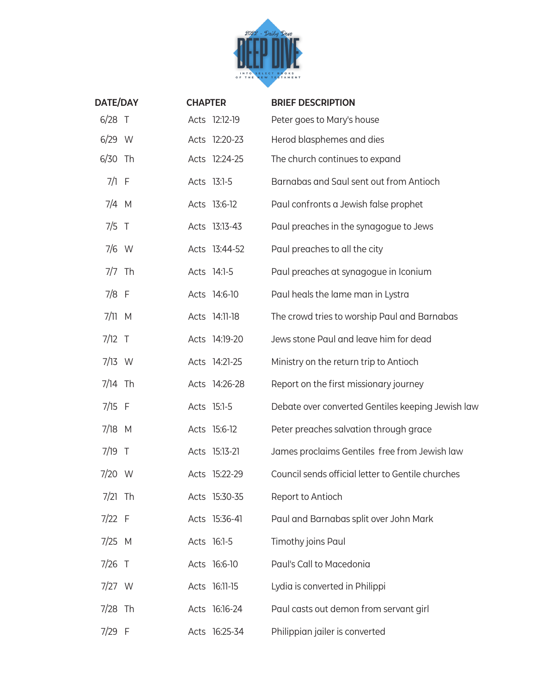

| <b>DATE/DAY</b> | <b>CHAPTER</b> |               | <b>BRIEF DESCRIPTION</b>                          |
|-----------------|----------------|---------------|---------------------------------------------------|
| $6/28$ T        |                | Acts 12:12-19 | Peter goes to Mary's house                        |
| $6/29$ W        |                | Acts 12:20-23 | Herod blasphemes and dies                         |
| 6/30 Th         |                | Acts 12:24-25 | The church continues to expand                    |
| $7/1$ F         |                | Acts 13:1-5   | Barnabas and Saul sent out from Antioch           |
| $7/4$ M         |                | Acts 13:6-12  | Paul confronts a Jewish false prophet             |
| $7/5$ T         |                | Acts 13:13-43 | Paul preaches in the synagogue to Jews            |
| $7/6$ W         |                | Acts 13:44-52 | Paul preaches to all the city                     |
| $7/7$ Th        |                | Acts 14:1-5   | Paul preaches at synagogue in Iconium             |
| $7/8$ F         |                | Acts 14:6-10  | Paul heals the lame man in Lystra                 |
| $7/11$ M        |                | Acts 14:11-18 | The crowd tries to worship Paul and Barnabas      |
| $7/12$ T        |                | Acts 14:19-20 | Jews stone Paul and leave him for dead            |
| $7/13$ W        |                | Acts 14:21-25 | Ministry on the return trip to Antioch            |
| $7/14$ Th       |                | Acts 14:26-28 | Report on the first missionary journey            |
| $7/15$ F        |                | Acts 15:1-5   | Debate over converted Gentiles keeping Jewish law |
| $7/18$ M        |                | Acts 15:6-12  | Peter preaches salvation through grace            |
| $7/19$ T        |                | Acts 15:13-21 | James proclaims Gentiles free from Jewish law     |
| $7/20$ W        |                | Acts 15:22-29 | Council sends official letter to Gentile churches |
| $7/21$ Th       |                | Acts 15:30-35 | Report to Antioch                                 |
| $7/22$ F        |                | Acts 15:36-41 | Paul and Barnabas split over John Mark            |
| $7/25$ M        |                | Acts 16:1-5   | Timothy joins Paul                                |
| $7/26$ T        |                | Acts 16:6-10  | Paul's Call to Macedonia                          |
| $7/27$ W        |                | Acts 16:11-15 | Lydia is converted in Philippi                    |
| $7/28$ Th       |                | Acts 16:16-24 | Paul casts out demon from servant girl            |
| 7/29 F          |                | Acts 16:25-34 | Philippian jailer is converted                    |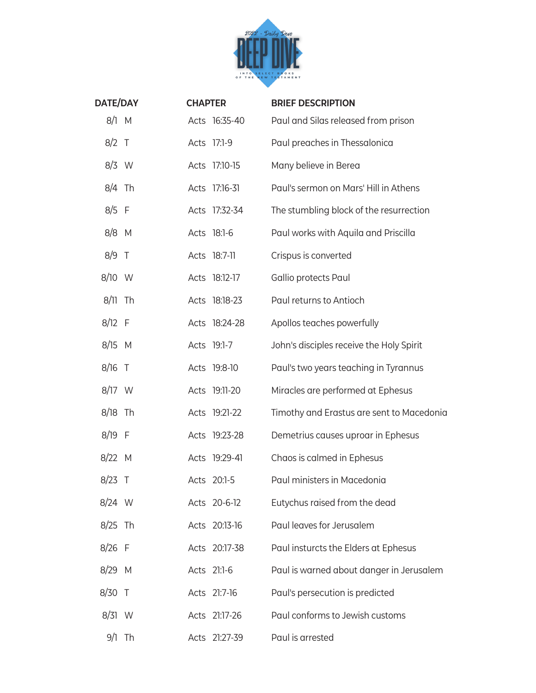

| <b>DATE/DAY</b> |          | <b>CHAPTER</b> |               | <b>BRIEF DESCRIPTION</b>                  |
|-----------------|----------|----------------|---------------|-------------------------------------------|
| 8/1 M           |          |                | Acts 16:35-40 | Paul and Silas released from prison       |
| $8/2$ T         |          |                | Acts 17:1-9   | Paul preaches in Thessalonica             |
| $8/3$ W         |          |                | Acts 17:10-15 | Many believe in Berea                     |
| $8/4$ Th        |          |                | Acts 17:16-31 | Paul's sermon on Mars' Hill in Athens     |
| $8/5$ F         |          |                | Acts 17:32-34 | The stumbling block of the resurrection   |
| $8/8$ M         |          |                | Acts 18:1-6   | Paul works with Aquila and Priscilla      |
| $8/9$ T         |          |                | Acts 18:7-11  | Crispus is converted                      |
| $8/10$ W        |          |                | Acts 18:12-17 | Gallio protects Paul                      |
| $8/11$ Th       |          |                | Acts 18:18-23 | Paul returns to Antioch                   |
| $8/12$ F        |          |                | Acts 18:24-28 | Apollos teaches powerfully                |
| $8/15$ M        |          |                | Acts 19:1-7   | John's disciples receive the Holy Spirit  |
| $8/16$ T        |          |                | Acts 19:8-10  | Paul's two years teaching in Tyrannus     |
| 8/17 W          |          |                | Acts 19:11-20 | Miracles are performed at Ephesus         |
| $8/18$ Th       |          |                | Acts 19:21-22 | Timothy and Erastus are sent to Macedonia |
| 8/19 F          |          |                | Acts 19:23-28 | Demetrius causes uproar in Ephesus        |
| $8/22$ M        |          |                | Acts 19:29-41 | Chaos is calmed in Ephesus                |
| $8/23$ T        |          |                | Acts 20:1-5   | Paul ministers in Macedonia               |
| $8/24$ W        |          |                | Acts 20-6-12  | Eutychus raised from the dead             |
| $8/25$ Th       |          |                | Acts 20:13-16 | Paul leaves for Jerusalem                 |
| $8/26$ F        |          |                | Acts 20:17-38 | Paul insturcts the Elders at Ephesus      |
| $8/29$ M        |          |                | Acts 21:1-6   | Paul is warned about danger in Jerusalem  |
| 8/30 T          |          |                | Acts 21:7-16  | Paul's persecution is predicted           |
| 8/31 W          |          |                | Acts 21:17-26 | Paul conforms to Jewish customs           |
|                 | $9/1$ Th |                | Acts 21:27-39 | Paul is arrested                          |